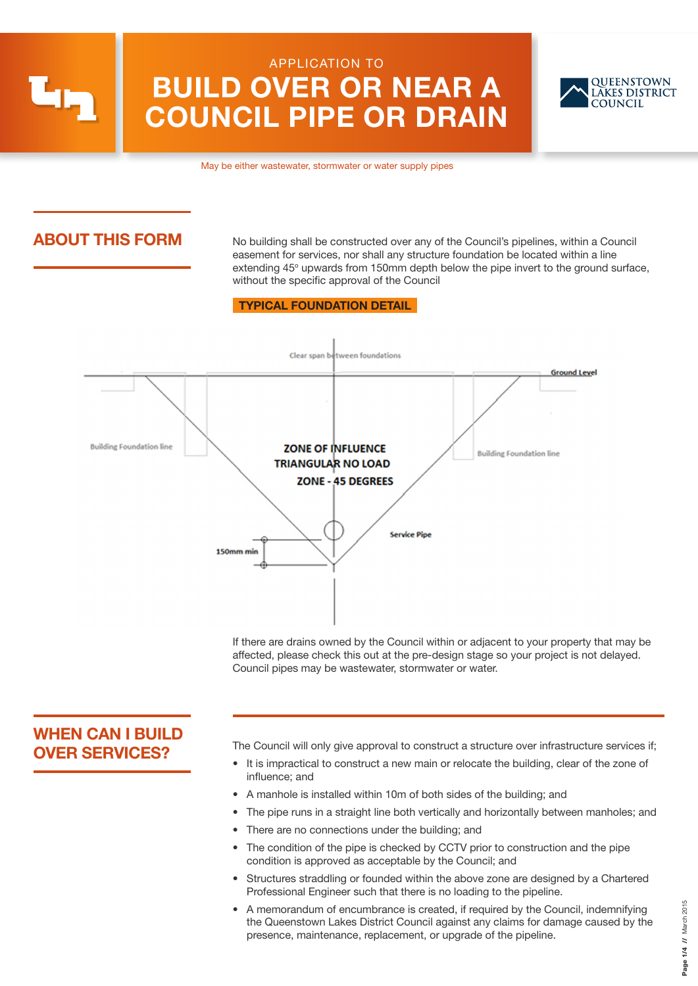APPLICATION TO

# BUILD OVER OR NEAR A COUNCIL PIPE OR DRAIN



May be either wastewater, stormwater or water supply pipes

# ABOUT THIS FORM

No building shall be constructed over any of the Council's pipelines, within a Council easement for services, nor shall any structure foundation be located within a line extending 45° upwards from 150mm depth below the pipe invert to the ground surface, without the specific approval of the Council

#### TYPICAL FOUNDATION DETAIL



If there are drains owned by the Council within or adjacent to your property that may be affected, please check this out at the pre-design stage so your project is not delayed. Council pipes may be wastewater, stormwater or water.

# WHEN CAN I BUILD OVER SERVICES?

The Council will only give approval to construct a structure over infrastructure services if;

- It is impractical to construct a new main or relocate the building, clear of the zone of influence; and
	- A manhole is installed within 10m of both sides of the building; and
- The pipe runs in a straight line both vertically and horizontally between manholes; and
- There are no connections under the building; and
- The condition of the pipe is checked by CCTV prior to construction and the pipe condition is approved as acceptable by the Council; and
- Structures straddling or founded within the above zone are designed by a Chartered Professional Engineer such that there is no loading to the pipeline.
- A memorandum of encumbrance is created, if required by the Council, indemnifying the Queenstown Lakes District Council against any claims for damage caused by the presence, maintenance, replacement, or upgrade of the pipeline.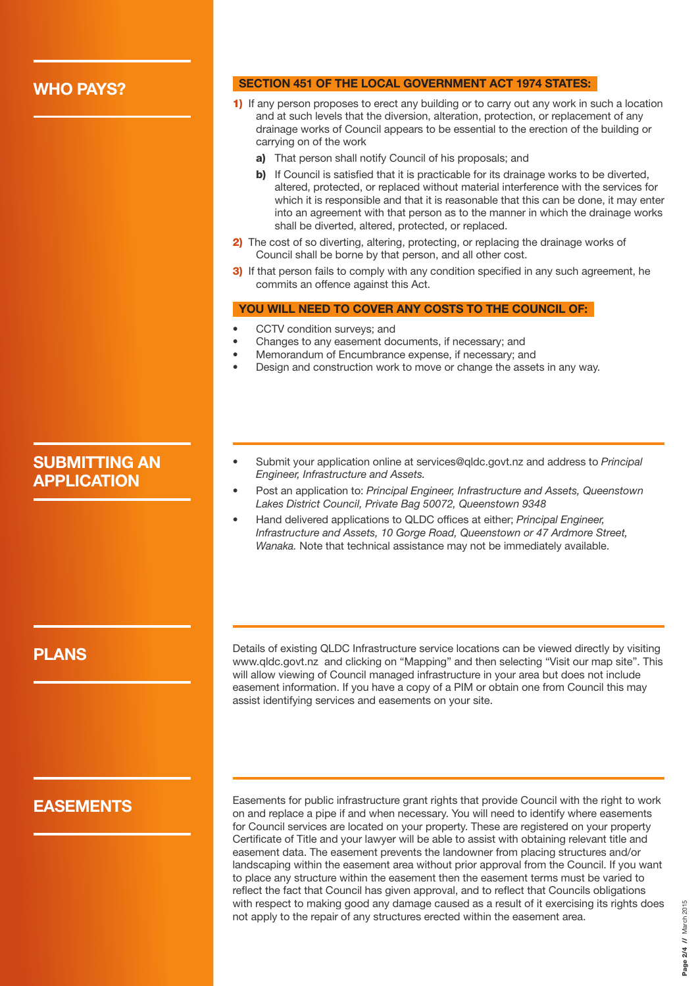### WHO PAYS?

#### SECTION 451 OF THE LOCAL GOVERNMENT ACT 1974 STATES:

- 1) If any person proposes to erect any building or to carry out any work in such a location and at such levels that the diversion, alteration, protection, or replacement of any drainage works of Council appears to be essential to the erection of the building or carrying on of the work
	- a) That person shall notify Council of his proposals; and
	- b) If Council is satisfied that it is practicable for its drainage works to be diverted, altered, protected, or replaced without material interference with the services for which it is responsible and that it is reasonable that this can be done, it may enter into an agreement with that person as to the manner in which the drainage works shall be diverted, altered, protected, or replaced.
- 2) The cost of so diverting, altering, protecting, or replacing the drainage works of Council shall be borne by that person, and all other cost.
- 3) If that person fails to comply with any condition specified in any such agreement, he commits an offence against this Act.

#### YOU WILL NEED TO COVER ANY COSTS TO THE COUNCIL OF:

- CCTV condition surveys; and
- Changes to any easement documents, if necessary; and
- Memorandum of Encumbrance expense, if necessary; and
- Design and construction work to move or change the assets in any way.

# SUBMITTING AN APPLICATION

- Submit your application online at services@qldc.govt.nz and address to *Principal Engineer, Infrastructure and Assets.*
- Post an application to: *Principal Engineer, Infrastructure and Assets, Queenstown Lakes District Council, Private Bag 50072, Queenstown 9348*
- Hand delivered applications to QLDC offices at either; *Principal Engineer, Infrastructure and Assets, 10 Gorge Road, Queenstown or 47 Ardmore Street, Wanaka.* Note that technical assistance may not be immediately available.

### PLANS

Details of existing QLDC Infrastructure service locations can be viewed directly by visiting www.qldc.govt.nz and clicking on "Mapping" and then selecting "Visit our map site". This will allow viewing of Council managed infrastructure in your area but does not include easement information. If you have a copy of a PIM or obtain one from Council this may assist identifying services and easements on your site.

## EASEMENTS

Easements for public infrastructure grant rights that provide Council with the right to work on and replace a pipe if and when necessary. You will need to identify where easements for Council services are located on your property. These are registered on your property Certificate of Title and your lawyer will be able to assist with obtaining relevant title and easement data. The easement prevents the landowner from placing structures and/or landscaping within the easement area without prior approval from the Council. If you want to place any structure within the easement then the easement terms must be varied to reflect the fact that Council has given approval, and to reflect that Councils obligations with respect to making good any damage caused as a result of it exercising its rights does not apply to the repair of any structures erected within the easement area.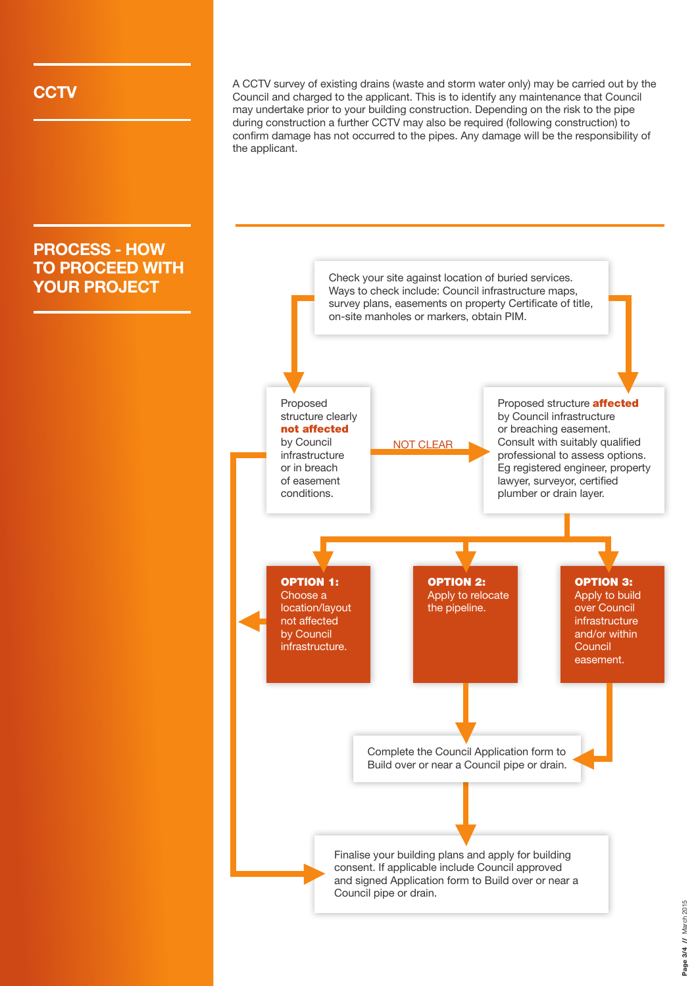PROCESS - HOW TO PROCEED WITH

**CCTV** A CCTV survey of existing drains (waste and storm water only) may be carried out by the Council and charged to the applicant. This is to identify any maintenance that Council may undertake prior to your building construction. Depending on the risk to the pipe during construction a further CCTV may also be required (following construction) to confirm damage has not occurred to the pipes. Any damage will be the responsibility of the applicant.

#### **YOUR PROJECT** Check your site against location of buried services.<br>
Ways to check include: Council infrastructure maps, survey plans, easements on property Certificate of title, on-site manholes or markers, obtain PIM. Finalise your building plans and apply for building consent. If applicable include Council approved and signed Application form to Build over or near a Council pipe or drain. Proposed structure clearly not affected by Council infrastructure or in breach of easement conditions. NOT CLEAR OPTION 1: Choose a location/layout not affected by Council infrastructure. OPTION 2: Apply to relocate the pipeline. OPTION 3: Apply to build over Council infrastructure and/or within **Council** easement. Proposed structure **affected** by Council infrastructure or breaching easement. Consult with suitably qualified professional to assess options. Eg registered engineer, property lawyer, surveyor, certified plumber or drain layer. Complete the Council Application form to Build over or near a Council pipe or drain.